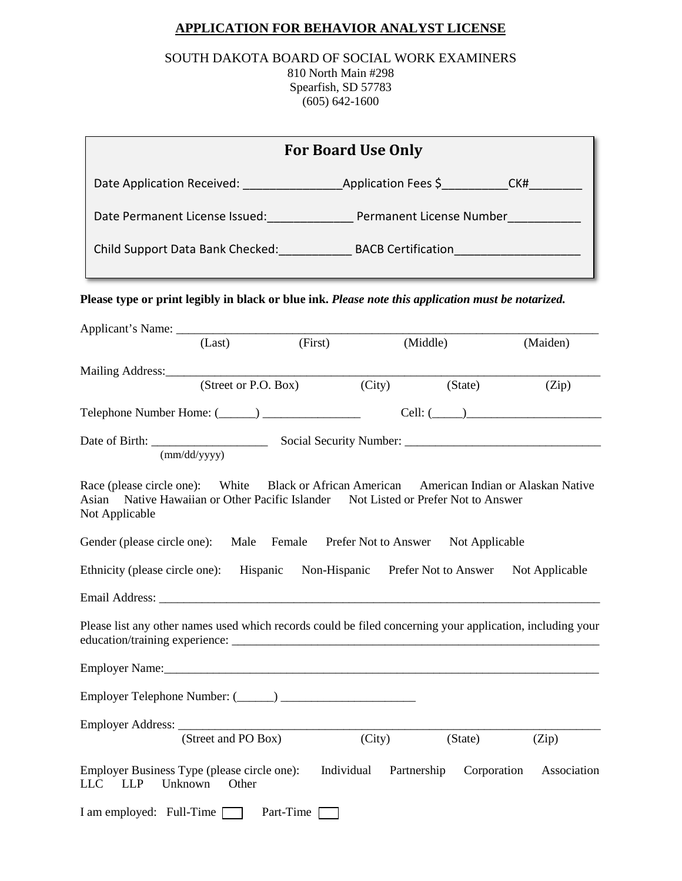### **APPLICATION FOR BEHAVIOR ANALYST LICENSE**

#### SOUTH DAKOTA BOARD OF SOCIAL WORK EXAMINERS 810 North Main #298 Spearfish, SD 57783 (605) 642-1600

| <b>For Board Use Only</b>                                                                                                                                                                           |                     |           |            |             |             |                |  |
|-----------------------------------------------------------------------------------------------------------------------------------------------------------------------------------------------------|---------------------|-----------|------------|-------------|-------------|----------------|--|
|                                                                                                                                                                                                     |                     |           |            |             |             |                |  |
| Date Permanent License Issued: Permanent License Number                                                                                                                                             |                     |           |            |             |             |                |  |
|                                                                                                                                                                                                     |                     |           |            |             |             |                |  |
| Please type or print legibly in black or blue ink. Please note this application must be notarized.                                                                                                  |                     |           |            |             |             |                |  |
|                                                                                                                                                                                                     | (Last)              | (First)   |            | (Middle)    |             | (Maiden)       |  |
|                                                                                                                                                                                                     |                     |           |            |             |             |                |  |
| Mailing Address: (Street or P.O. Box) (Cit)                                                                                                                                                         |                     |           |            | (City)      | (State)     | (Zip)          |  |
|                                                                                                                                                                                                     |                     |           |            |             |             | $Cell: (\_\_)$ |  |
|                                                                                                                                                                                                     | (mm/dd/yyyy)        |           |            |             |             |                |  |
| Race (please circle one): White Black or African American American Indian or Alaskan Native<br>Asian Native Hawaiian or Other Pacific Islander Not Listed or Prefer Not to Answer<br>Not Applicable |                     |           |            |             |             |                |  |
| Gender (please circle one): Male Female Prefer Not to Answer Not Applicable                                                                                                                         |                     |           |            |             |             |                |  |
| Ethnicity (please circle one): Hispanic Non-Hispanic Prefer Not to Answer Not Applicable                                                                                                            |                     |           |            |             |             |                |  |
|                                                                                                                                                                                                     |                     |           |            |             |             |                |  |
| Please list any other names used which records could be filed concerning your application, including your                                                                                           |                     |           |            |             |             |                |  |
|                                                                                                                                                                                                     |                     |           |            |             |             |                |  |
|                                                                                                                                                                                                     |                     |           |            |             |             |                |  |
|                                                                                                                                                                                                     | (Street and PO Box) |           | (City)     |             | (State)     | (Zip)          |  |
| Employer Business Type (please circle one):<br><b>LLP</b><br>LLC <sub>1</sub>                                                                                                                       | Unknown<br>Other    |           | Individual | Partnership | Corporation | Association    |  |
| I am employed: Full-Time                                                                                                                                                                            |                     | Part-Time |            |             |             |                |  |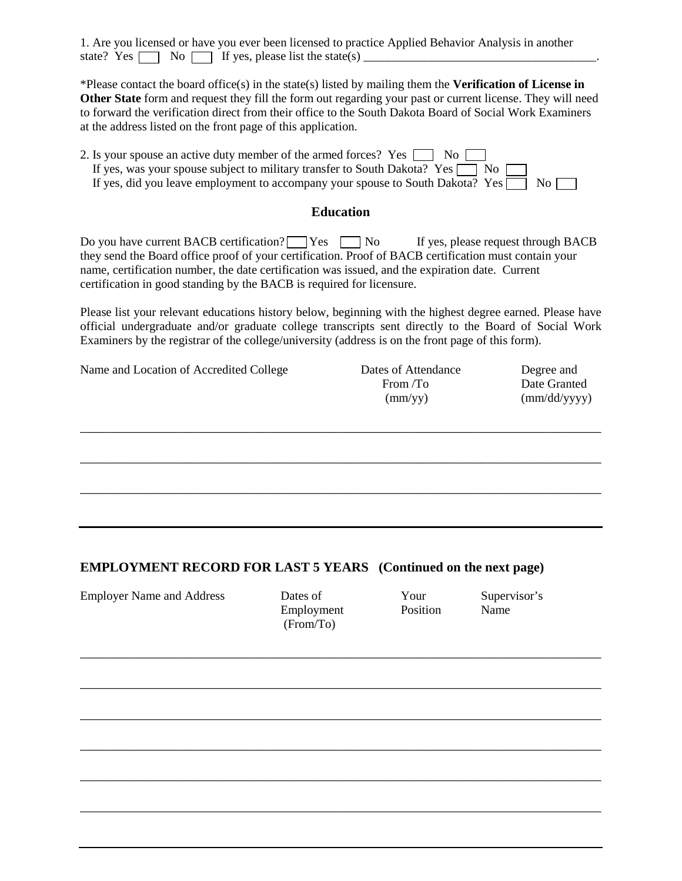|  |  |                                                              |  | 1. Are you licensed or have you ever been licensed to practice Applied Behavior Analysis in another |  |
|--|--|--------------------------------------------------------------|--|-----------------------------------------------------------------------------------------------------|--|
|  |  | state? Yes $\Box$ No $\Box$ If yes, please list the state(s) |  |                                                                                                     |  |

\*Please contact the board office(s) in the state(s) listed by mailing them the **Verification of License in Other State** form and request they fill the form out regarding your past or current license. They will need to forward the verification direct from their office to the South Dakota Board of Social Work Examiners at the address listed on the front page of this application.

| 2. Is your spouse an active duty member of the armed forces? Yes $\Box$ No $\Box$          |  |
|--------------------------------------------------------------------------------------------|--|
| If yes, was your spouse subject to military transfer to South Dakota? Yes $\Box$ No $\Box$ |  |
| If yes, did you leave employment to accompany your spouse to South Dakota? Yes $\Box$ No   |  |

#### **Education**

Do you have current BACB certification?  $\Box$  Yes  $\Box$  No If yes, please request through BACB they send the Board office proof of your certification. Proof of BACB certification must contain your name, certification number, the date certification was issued, and the expiration date. Current certification in good standing by the BACB is required for licensure.

Please list your relevant educations history below, beginning with the highest degree earned. Please have official undergraduate and/or graduate college transcripts sent directly to the Board of Social Work Examiners by the registrar of the college/university (address is on the front page of this form).

\_\_\_\_\_\_\_\_\_\_\_\_\_\_\_\_\_\_\_\_\_\_\_\_\_\_\_\_\_\_\_\_\_\_\_\_\_\_\_\_\_\_\_\_\_\_\_\_\_\_\_\_\_\_\_\_\_\_\_\_\_\_\_\_\_\_\_\_\_\_\_\_\_\_\_\_\_\_

\_\_\_\_\_\_\_\_\_\_\_\_\_\_\_\_\_\_\_\_\_\_\_\_\_\_\_\_\_\_\_\_\_\_\_\_\_\_\_\_\_\_\_\_\_\_\_\_\_\_\_\_\_\_\_\_\_\_\_\_\_\_\_\_\_\_\_\_\_\_\_\_\_\_\_\_\_\_

| Name and Location of Accredited College | Dates of Attendance | Degree and            |
|-----------------------------------------|---------------------|-----------------------|
|                                         | From $T_0$          | Date Granted          |
|                                         | $\text{(mm/yy)}$    | $\text{(mm/dd/yyyy)}$ |
|                                         |                     |                       |
|                                         |                     |                       |

#### **EMPLOYMENT RECORD FOR LAST 5 YEARS (Continued on the next page)**

Employer Name and Address Dates of Your Supervisor's

| Dates of   |
|------------|
| Employment |
| (From/To)  |

Position Name

\_\_\_\_\_\_\_\_\_\_\_\_\_\_\_\_\_\_\_\_\_\_\_\_\_\_\_\_\_\_\_\_\_\_\_\_\_\_\_\_\_\_\_\_\_\_\_\_\_\_\_\_\_\_\_\_\_\_\_\_\_\_\_\_\_\_\_\_\_\_\_\_\_\_\_\_\_\_

\_\_\_\_\_\_\_\_\_\_\_\_\_\_\_\_\_\_\_\_\_\_\_\_\_\_\_\_\_\_\_\_\_\_\_\_\_\_\_\_\_\_\_\_\_\_\_\_\_\_\_\_\_\_\_\_\_\_\_\_\_\_\_\_\_\_\_\_\_\_\_\_\_\_\_\_\_\_ \_\_\_\_\_\_\_\_\_\_\_\_\_\_\_\_\_\_\_\_\_\_\_\_\_\_\_\_\_\_\_\_\_\_\_\_\_\_\_\_\_\_\_\_\_\_\_\_\_\_\_\_\_\_\_\_\_\_\_\_\_\_\_\_\_\_\_\_\_\_\_\_\_\_\_\_\_\_

\_\_\_\_\_\_\_\_\_\_\_\_\_\_\_\_\_\_\_\_\_\_\_\_\_\_\_\_\_\_\_\_\_\_\_\_\_\_\_\_\_\_\_\_\_\_\_\_\_\_\_\_\_\_\_\_\_\_\_\_\_\_\_\_\_\_\_\_\_\_\_\_\_\_\_\_\_\_

\_\_\_\_\_\_\_\_\_\_\_\_\_\_\_\_\_\_\_\_\_\_\_\_\_\_\_\_\_\_\_\_\_\_\_\_\_\_\_\_\_\_\_\_\_\_\_\_\_\_\_\_\_\_\_\_\_\_\_\_\_\_\_\_\_\_\_\_\_\_\_\_\_\_\_\_\_\_

\_\_\_\_\_\_\_\_\_\_\_\_\_\_\_\_\_\_\_\_\_\_\_\_\_\_\_\_\_\_\_\_\_\_\_\_\_\_\_\_\_\_\_\_\_\_\_\_\_\_\_\_\_\_\_\_\_\_\_\_\_\_\_\_\_\_\_\_\_\_\_\_\_\_\_\_\_\_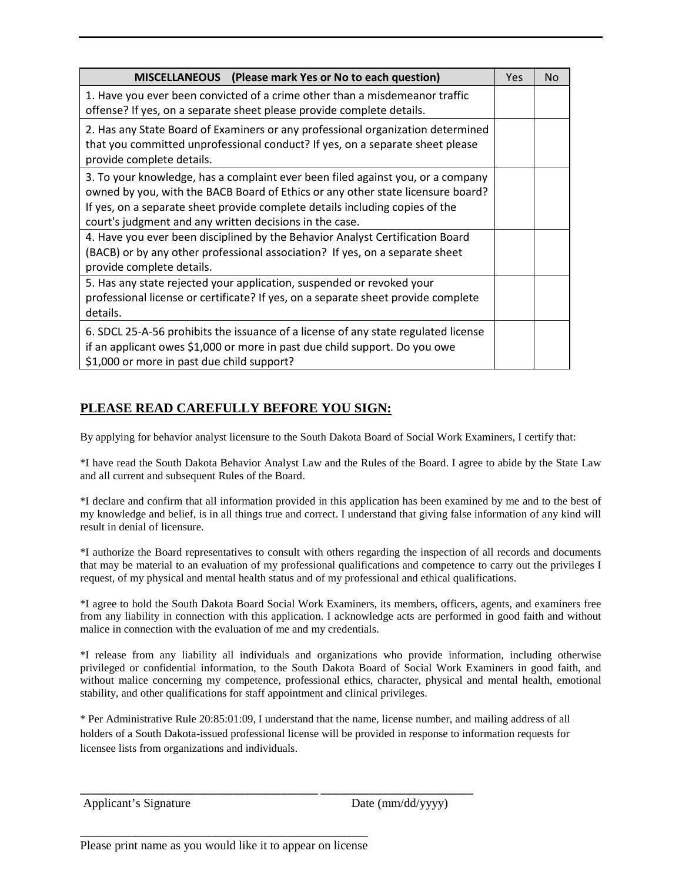| MISCELLANEOUS (Please mark Yes or No to each question)                                                                                                                                                                                                                                                        | Yes | No. |
|---------------------------------------------------------------------------------------------------------------------------------------------------------------------------------------------------------------------------------------------------------------------------------------------------------------|-----|-----|
| 1. Have you ever been convicted of a crime other than a misdemeanor traffic<br>offense? If yes, on a separate sheet please provide complete details.                                                                                                                                                          |     |     |
| 2. Has any State Board of Examiners or any professional organization determined<br>that you committed unprofessional conduct? If yes, on a separate sheet please<br>provide complete details.                                                                                                                 |     |     |
| 3. To your knowledge, has a complaint ever been filed against you, or a company<br>owned by you, with the BACB Board of Ethics or any other state licensure board?<br>If yes, on a separate sheet provide complete details including copies of the<br>court's judgment and any written decisions in the case. |     |     |
| 4. Have you ever been disciplined by the Behavior Analyst Certification Board<br>(BACB) or by any other professional association? If yes, on a separate sheet<br>provide complete details.                                                                                                                    |     |     |
| 5. Has any state rejected your application, suspended or revoked your<br>professional license or certificate? If yes, on a separate sheet provide complete<br>details.                                                                                                                                        |     |     |
| 6. SDCL 25-A-56 prohibits the issuance of a license of any state regulated license<br>if an applicant owes \$1,000 or more in past due child support. Do you owe<br>\$1,000 or more in past due child support?                                                                                                |     |     |

# **PLEASE READ CAREFULLY BEFORE YOU SIGN:**

By applying for behavior analyst licensure to the South Dakota Board of Social Work Examiners, I certify that:

\*I have read the South Dakota Behavior Analyst Law and the Rules of the Board. I agree to abide by the State Law and all current and subsequent Rules of the Board.

\*I declare and confirm that all information provided in this application has been examined by me and to the best of my knowledge and belief, is in all things true and correct. I understand that giving false information of any kind will result in denial of licensure.

\*I authorize the Board representatives to consult with others regarding the inspection of all records and documents that may be material to an evaluation of my professional qualifications and competence to carry out the privileges I request, of my physical and mental health status and of my professional and ethical qualifications.

\*I agree to hold the South Dakota Board Social Work Examiners, its members, officers, agents, and examiners free from any liability in connection with this application. I acknowledge acts are performed in good faith and without malice in connection with the evaluation of me and my credentials.

\*I release from any liability all individuals and organizations who provide information, including otherwise privileged or confidential information, to the South Dakota Board of Social Work Examiners in good faith, and without malice concerning my competence, professional ethics, character, physical and mental health, emotional stability, and other qualifications for staff appointment and clinical privileges.

\* Per Administrative Rule 20:85:01:09, I understand that the name, license number, and mailing address of all holders of a South Dakota-issued professional license will be provided in response to information requests for licensee lists from organizations and individuals.

\_\_\_\_\_\_\_\_\_\_\_\_\_\_\_\_\_\_\_\_\_\_\_\_\_\_\_\_\_\_\_\_\_\_\_\_\_\_\_ \_\_\_\_\_\_\_\_\_\_\_\_\_\_\_\_\_\_\_\_\_\_\_\_\_

```
Applicant's Signature Date (mm/dd/yyyy)
```